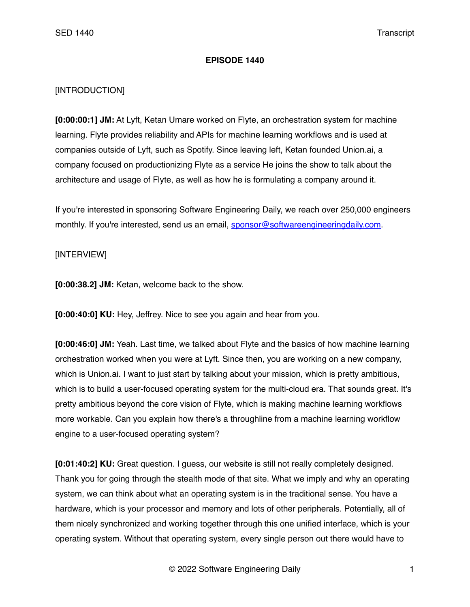## **EPISODE 1440**

## [INTRODUCTION]

**[0:00:00:1] JM:** At Lyft, Ketan Umare worked on Flyte, an orchestration system for machine learning. Flyte provides reliability and APIs for machine learning workflows and is used at companies outside of Lyft, such as Spotify. Since leaving left, Ketan founded Union.ai, a company focused on productionizing Flyte as a service He joins the show to talk about the architecture and usage of Flyte, as well as how he is formulating a company around it.

If you're interested in sponsoring Software Engineering Daily, we reach over 250,000 engineers monthly. If you're interested, send us an email, [sponsor@softwareengineeringdaily.com](mailto:sponsor@softwareengineeringdaily.com).

## [INTERVIEW]

**[0:00:38.2] JM:** Ketan, welcome back to the show.

**[0:00:40:0] KU:** Hey, Jeffrey. Nice to see you again and hear from you.

**[0:00:46:0] JM:** Yeah. Last time, we talked about Flyte and the basics of how machine learning orchestration worked when you were at Lyft. Since then, you are working on a new company, which is Union.ai. I want to just start by talking about your mission, which is pretty ambitious, which is to build a user-focused operating system for the multi-cloud era. That sounds great. It's pretty ambitious beyond the core vision of Flyte, which is making machine learning workflows more workable. Can you explain how there's a throughline from a machine learning workflow engine to a user-focused operating system?

**[0:01:40:2] KU:** Great question. I guess, our website is still not really completely designed. Thank you for going through the stealth mode of that site. What we imply and why an operating system, we can think about what an operating system is in the traditional sense. You have a hardware, which is your processor and memory and lots of other peripherals. Potentially, all of them nicely synchronized and working together through this one unified interface, which is your operating system. Without that operating system, every single person out there would have to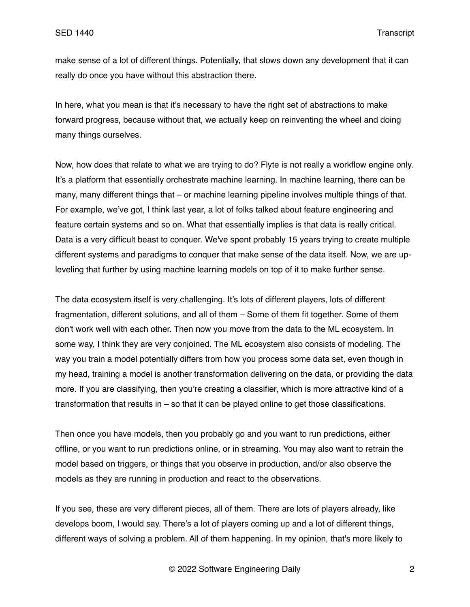make sense of a lot of different things. Potentially, that slows down any development that it can really do once you have without this abstraction there.

In here, what you mean is that it's necessary to have the right set of abstractions to make forward progress, because without that, we actually keep on reinventing the wheel and doing many things ourselves.

Now, how does that relate to what we are trying to do? Flyte is not really a workflow engine only. It's a platform that essentially orchestrate machine learning. In machine learning, there can be many, many different things that – or machine learning pipeline involves multiple things of that. For example, we've got, I think last year, a lot of folks talked about feature engineering and feature certain systems and so on. What that essentially implies is that data is really critical. Data is a very difficult beast to conquer. We've spent probably 15 years trying to create multiple different systems and paradigms to conquer that make sense of the data itself. Now, we are upleveling that further by using machine learning models on top of it to make further sense.

The data ecosystem itself is very challenging. It's lots of different players, lots of different fragmentation, different solutions, and all of them – Some of them fit together. Some of them don't work well with each other. Then now you move from the data to the ML ecosystem. In some way, I think they are very conjoined. The ML ecosystem also consists of modeling. The way you train a model potentially differs from how you process some data set, even though in my head, training a model is another transformation delivering on the data, or providing the data more. If you are classifying, then you're creating a classifier, which is more attractive kind of a transformation that results in – so that it can be played online to get those classifications.

Then once you have models, then you probably go and you want to run predictions, either offline, or you want to run predictions online, or in streaming. You may also want to retrain the model based on triggers, or things that you observe in production, and/or also observe the models as they are running in production and react to the observations.

If you see, these are very different pieces, all of them. There are lots of players already, like develops boom, I would say. There's a lot of players coming up and a lot of different things, different ways of solving a problem. All of them happening. In my opinion, that's more likely to

© 2022 Software Engineering Daily 2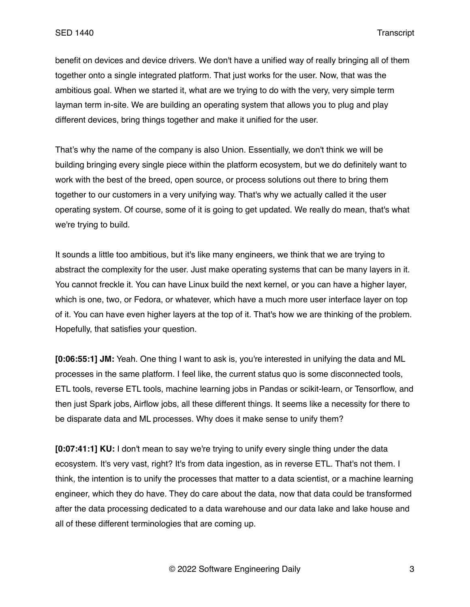benefit on devices and device drivers. We don't have a unified way of really bringing all of them together onto a single integrated platform. That just works for the user. Now, that was the ambitious goal. When we started it, what are we trying to do with the very, very simple term layman term in-site. We are building an operating system that allows you to plug and play different devices, bring things together and make it unified for the user.

That's why the name of the company is also Union. Essentially, we don't think we will be building bringing every single piece within the platform ecosystem, but we do definitely want to work with the best of the breed, open source, or process solutions out there to bring them together to our customers in a very unifying way. That's why we actually called it the user operating system. Of course, some of it is going to get updated. We really do mean, that's what we're trying to build.

It sounds a little too ambitious, but it's like many engineers, we think that we are trying to abstract the complexity for the user. Just make operating systems that can be many layers in it. You cannot freckle it. You can have Linux build the next kernel, or you can have a higher layer, which is one, two, or Fedora, or whatever, which have a much more user interface layer on top of it. You can have even higher layers at the top of it. That's how we are thinking of the problem. Hopefully, that satisfies your question.

**[0:06:55:1] JM:** Yeah. One thing I want to ask is, you're interested in unifying the data and ML processes in the same platform. I feel like, the current status quo is some disconnected tools, ETL tools, reverse ETL tools, machine learning jobs in Pandas or scikit-learn, or Tensorflow, and then just Spark jobs, Airflow jobs, all these different things. It seems like a necessity for there to be disparate data and ML processes. Why does it make sense to unify them?

**[0:07:41:1] KU:** I don't mean to say we're trying to unify every single thing under the data ecosystem. It's very vast, right? It's from data ingestion, as in reverse ETL. That's not them. I think, the intention is to unify the processes that matter to a data scientist, or a machine learning engineer, which they do have. They do care about the data, now that data could be transformed after the data processing dedicated to a data warehouse and our data lake and lake house and all of these different terminologies that are coming up.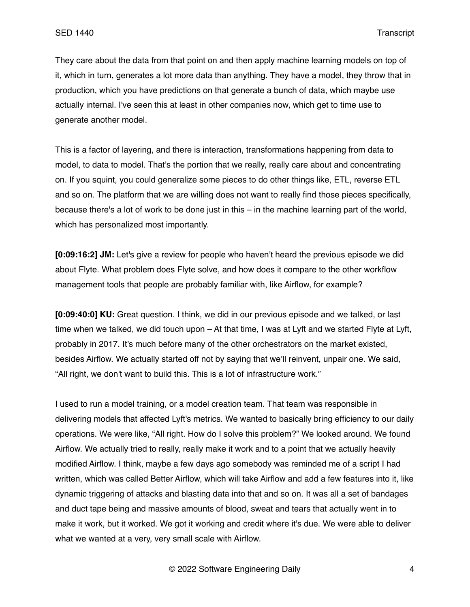They care about the data from that point on and then apply machine learning models on top of it, which in turn, generates a lot more data than anything. They have a model, they throw that in production, which you have predictions on that generate a bunch of data, which maybe use actually internal. I've seen this at least in other companies now, which get to time use to generate another model.

This is a factor of layering, and there is interaction, transformations happening from data to model, to data to model. That's the portion that we really, really care about and concentrating on. If you squint, you could generalize some pieces to do other things like, ETL, reverse ETL and so on. The platform that we are willing does not want to really find those pieces specifically, because there's a lot of work to be done just in this – in the machine learning part of the world, which has personalized most importantly.

**[0:09:16:2] JM:** Let's give a review for people who haven't heard the previous episode we did about Flyte. What problem does Flyte solve, and how does it compare to the other workflow management tools that people are probably familiar with, like Airflow, for example?

**[0:09:40:0] KU:** Great question. I think, we did in our previous episode and we talked, or last time when we talked, we did touch upon – At that time, I was at Lyft and we started Flyte at Lyft, probably in 2017. It's much before many of the other orchestrators on the market existed, besides Airflow. We actually started off not by saying that we'll reinvent, unpair one. We said, "All right, we don't want to build this. This is a lot of infrastructure work."

I used to run a model training, or a model creation team. That team was responsible in delivering models that affected Lyft's metrics. We wanted to basically bring efficiency to our daily operations. We were like, "All right. How do I solve this problem?" We looked around. We found Airflow. We actually tried to really, really make it work and to a point that we actually heavily modified Airflow. I think, maybe a few days ago somebody was reminded me of a script I had written, which was called Better Airflow, which will take Airflow and add a few features into it, like dynamic triggering of attacks and blasting data into that and so on. It was all a set of bandages and duct tape being and massive amounts of blood, sweat and tears that actually went in to make it work, but it worked. We got it working and credit where it's due. We were able to deliver what we wanted at a very, very small scale with Airflow.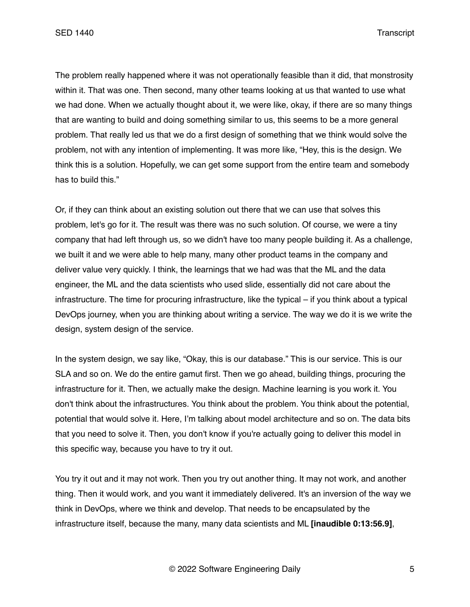The problem really happened where it was not operationally feasible than it did, that monstrosity within it. That was one. Then second, many other teams looking at us that wanted to use what we had done. When we actually thought about it, we were like, okay, if there are so many things that are wanting to build and doing something similar to us, this seems to be a more general problem. That really led us that we do a first design of something that we think would solve the problem, not with any intention of implementing. It was more like, "Hey, this is the design. We think this is a solution. Hopefully, we can get some support from the entire team and somebody has to build this."

Or, if they can think about an existing solution out there that we can use that solves this problem, let's go for it. The result was there was no such solution. Of course, we were a tiny company that had left through us, so we didn't have too many people building it. As a challenge, we built it and we were able to help many, many other product teams in the company and deliver value very quickly. I think, the learnings that we had was that the ML and the data engineer, the ML and the data scientists who used slide, essentially did not care about the infrastructure. The time for procuring infrastructure, like the typical – if you think about a typical DevOps journey, when you are thinking about writing a service. The way we do it is we write the design, system design of the service.

In the system design, we say like, "Okay, this is our database." This is our service. This is our SLA and so on. We do the entire gamut first. Then we go ahead, building things, procuring the infrastructure for it. Then, we actually make the design. Machine learning is you work it. You don't think about the infrastructures. You think about the problem. You think about the potential, potential that would solve it. Here, I'm talking about model architecture and so on. The data bits that you need to solve it. Then, you don't know if you're actually going to deliver this model in this specific way, because you have to try it out.

You try it out and it may not work. Then you try out another thing. It may not work, and another thing. Then it would work, and you want it immediately delivered. It's an inversion of the way we think in DevOps, where we think and develop. That needs to be encapsulated by the infrastructure itself, because the many, many data scientists and ML **[inaudible 0:13:56.9]**,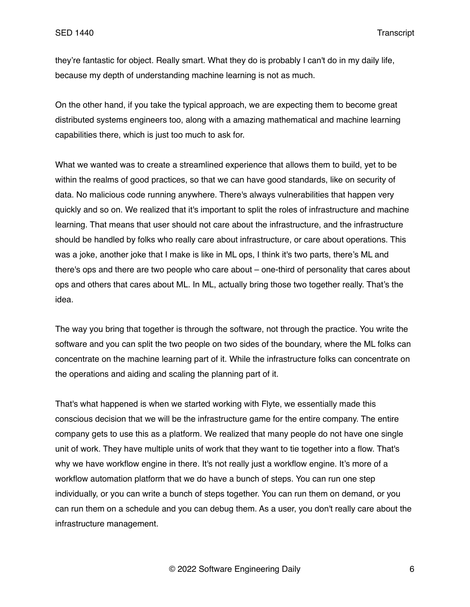they're fantastic for object. Really smart. What they do is probably I can't do in my daily life, because my depth of understanding machine learning is not as much.

On the other hand, if you take the typical approach, we are expecting them to become great distributed systems engineers too, along with a amazing mathematical and machine learning capabilities there, which is just too much to ask for.

What we wanted was to create a streamlined experience that allows them to build, yet to be within the realms of good practices, so that we can have good standards, like on security of data. No malicious code running anywhere. There's always vulnerabilities that happen very quickly and so on. We realized that it's important to split the roles of infrastructure and machine learning. That means that user should not care about the infrastructure, and the infrastructure should be handled by folks who really care about infrastructure, or care about operations. This was a joke, another joke that I make is like in ML ops, I think it's two parts, there's ML and there's ops and there are two people who care about – one-third of personality that cares about ops and others that cares about ML. In ML, actually bring those two together really. That's the idea.

The way you bring that together is through the software, not through the practice. You write the software and you can split the two people on two sides of the boundary, where the ML folks can concentrate on the machine learning part of it. While the infrastructure folks can concentrate on the operations and aiding and scaling the planning part of it.

That's what happened is when we started working with Flyte, we essentially made this conscious decision that we will be the infrastructure game for the entire company. The entire company gets to use this as a platform. We realized that many people do not have one single unit of work. They have multiple units of work that they want to tie together into a flow. That's why we have workflow engine in there. It's not really just a workflow engine. It's more of a workflow automation platform that we do have a bunch of steps. You can run one step individually, or you can write a bunch of steps together. You can run them on demand, or you can run them on a schedule and you can debug them. As a user, you don't really care about the infrastructure management.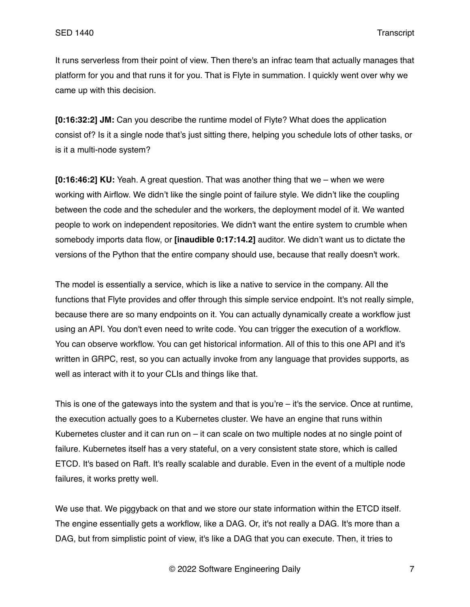It runs serverless from their point of view. Then there's an infrac team that actually manages that platform for you and that runs it for you. That is Flyte in summation. I quickly went over why we came up with this decision.

**[0:16:32:2] JM:** Can you describe the runtime model of Flyte? What does the application consist of? Is it a single node that's just sitting there, helping you schedule lots of other tasks, or is it a multi-node system?

**[0:16:46:2] KU:** Yeah. A great question. That was another thing that we – when we were working with Airflow. We didn't like the single point of failure style. We didn't like the coupling between the code and the scheduler and the workers, the deployment model of it. We wanted people to work on independent repositories. We didn't want the entire system to crumble when somebody imports data flow, or **[inaudible 0:17:14.2]** auditor. We didn't want us to dictate the versions of the Python that the entire company should use, because that really doesn't work.

The model is essentially a service, which is like a native to service in the company. All the functions that Flyte provides and offer through this simple service endpoint. It's not really simple, because there are so many endpoints on it. You can actually dynamically create a workflow just using an API. You don't even need to write code. You can trigger the execution of a workflow. You can observe workflow. You can get historical information. All of this to this one API and it's written in GRPC, rest, so you can actually invoke from any language that provides supports, as well as interact with it to your CLIs and things like that.

This is one of the gateways into the system and that is you're – it's the service. Once at runtime, the execution actually goes to a Kubernetes cluster. We have an engine that runs within Kubernetes cluster and it can run on – it can scale on two multiple nodes at no single point of failure. Kubernetes itself has a very stateful, on a very consistent state store, which is called ETCD. It's based on Raft. It's really scalable and durable. Even in the event of a multiple node failures, it works pretty well.

We use that. We piggyback on that and we store our state information within the ETCD itself. The engine essentially gets a workflow, like a DAG. Or, it's not really a DAG. It's more than a DAG, but from simplistic point of view, it's like a DAG that you can execute. Then, it tries to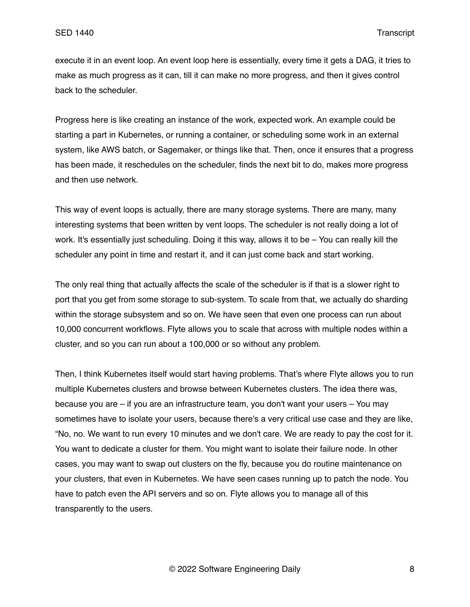execute it in an event loop. An event loop here is essentially, every time it gets a DAG, it tries to make as much progress as it can, till it can make no more progress, and then it gives control back to the scheduler.

Progress here is like creating an instance of the work, expected work. An example could be starting a part in Kubernetes, or running a container, or scheduling some work in an external system, like AWS batch, or Sagemaker, or things like that. Then, once it ensures that a progress has been made, it reschedules on the scheduler, finds the next bit to do, makes more progress and then use network.

This way of event loops is actually, there are many storage systems. There are many, many interesting systems that been written by vent loops. The scheduler is not really doing a lot of work. It's essentially just scheduling. Doing it this way, allows it to be – You can really kill the scheduler any point in time and restart it, and it can just come back and start working.

The only real thing that actually affects the scale of the scheduler is if that is a slower right to port that you get from some storage to sub-system. To scale from that, we actually do sharding within the storage subsystem and so on. We have seen that even one process can run about 10,000 concurrent workflows. Flyte allows you to scale that across with multiple nodes within a cluster, and so you can run about a 100,000 or so without any problem.

Then, I think Kubernetes itself would start having problems. That's where Flyte allows you to run multiple Kubernetes clusters and browse between Kubernetes clusters. The idea there was, because you are – if you are an infrastructure team, you don't want your users – You may sometimes have to isolate your users, because there's a very critical use case and they are like, "No, no. We want to run every 10 minutes and we don't care. We are ready to pay the cost for it. You want to dedicate a cluster for them. You might want to isolate their failure node. In other cases, you may want to swap out clusters on the fly, because you do routine maintenance on your clusters, that even in Kubernetes. We have seen cases running up to patch the node. You have to patch even the API servers and so on. Flyte allows you to manage all of this transparently to the users.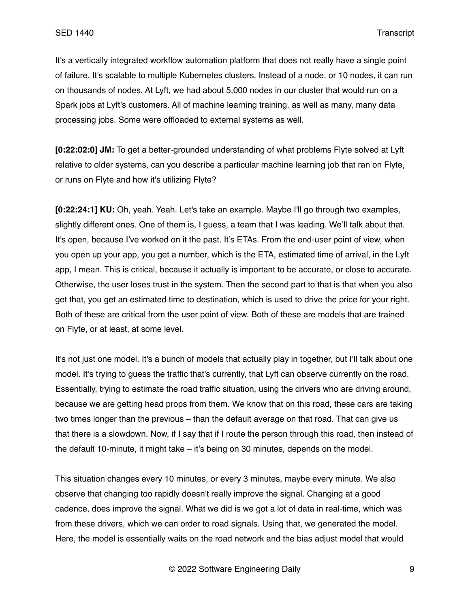It's a vertically integrated workflow automation platform that does not really have a single point of failure. It's scalable to multiple Kubernetes clusters. Instead of a node, or 10 nodes, it can run on thousands of nodes. At Lyft, we had about 5,000 nodes in our cluster that would run on a Spark jobs at Lyft's customers. All of machine learning training, as well as many, many data processing jobs. Some were offloaded to external systems as well.

**[0:22:02:0] JM:** To get a better-grounded understanding of what problems Flyte solved at Lyft relative to older systems, can you describe a particular machine learning job that ran on Flyte, or runs on Flyte and how it's utilizing Flyte?

**[0:22:24:1] KU:** Oh, yeah. Yeah. Let's take an example. Maybe I'll go through two examples, slightly different ones. One of them is, I guess, a team that I was leading. We'll talk about that. It's open, because I've worked on it the past. It's ETAs. From the end-user point of view, when you open up your app, you get a number, which is the ETA, estimated time of arrival, in the Lyft app, I mean. This is critical, because it actually is important to be accurate, or close to accurate. Otherwise, the user loses trust in the system. Then the second part to that is that when you also get that, you get an estimated time to destination, which is used to drive the price for your right. Both of these are critical from the user point of view. Both of these are models that are trained on Flyte, or at least, at some level.

It's not just one model. It's a bunch of models that actually play in together, but I'll talk about one model. It's trying to guess the traffic that's currently, that Lyft can observe currently on the road. Essentially, trying to estimate the road traffic situation, using the drivers who are driving around, because we are getting head props from them. We know that on this road, these cars are taking two times longer than the previous – than the default average on that road. That can give us that there is a slowdown. Now, if I say that if I route the person through this road, then instead of the default 10-minute, it might take – it's being on 30 minutes, depends on the model.

This situation changes every 10 minutes, or every 3 minutes, maybe every minute. We also observe that changing too rapidly doesn't really improve the signal. Changing at a good cadence, does improve the signal. What we did is we got a lot of data in real-time, which was from these drivers, which we can order to road signals. Using that, we generated the model. Here, the model is essentially waits on the road network and the bias adjust model that would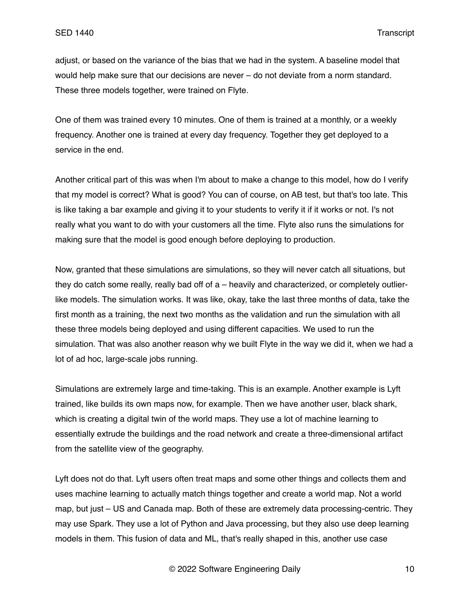adjust, or based on the variance of the bias that we had in the system. A baseline model that would help make sure that our decisions are never – do not deviate from a norm standard. These three models together, were trained on Flyte.

One of them was trained every 10 minutes. One of them is trained at a monthly, or a weekly frequency. Another one is trained at every day frequency. Together they get deployed to a service in the end.

Another critical part of this was when I'm about to make a change to this model, how do I verify that my model is correct? What is good? You can of course, on AB test, but that's too late. This is like taking a bar example and giving it to your students to verify it if it works or not. I's not really what you want to do with your customers all the time. Flyte also runs the simulations for making sure that the model is good enough before deploying to production.

Now, granted that these simulations are simulations, so they will never catch all situations, but they do catch some really, really bad off of a – heavily and characterized, or completely outlierlike models. The simulation works. It was like, okay, take the last three months of data, take the first month as a training, the next two months as the validation and run the simulation with all these three models being deployed and using different capacities. We used to run the simulation. That was also another reason why we built Flyte in the way we did it, when we had a lot of ad hoc, large-scale jobs running.

Simulations are extremely large and time-taking. This is an example. Another example is Lyft trained, like builds its own maps now, for example. Then we have another user, black shark, which is creating a digital twin of the world maps. They use a lot of machine learning to essentially extrude the buildings and the road network and create a three-dimensional artifact from the satellite view of the geography.

Lyft does not do that. Lyft users often treat maps and some other things and collects them and uses machine learning to actually match things together and create a world map. Not a world map, but just – US and Canada map. Both of these are extremely data processing-centric. They may use Spark. They use a lot of Python and Java processing, but they also use deep learning models in them. This fusion of data and ML, that's really shaped in this, another use case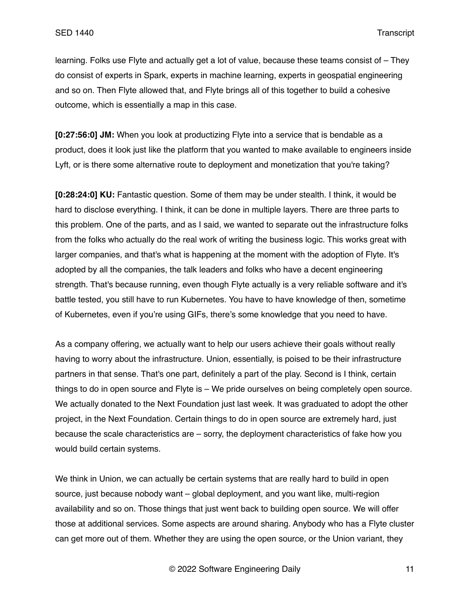learning. Folks use Flyte and actually get a lot of value, because these teams consist of – They do consist of experts in Spark, experts in machine learning, experts in geospatial engineering and so on. Then Flyte allowed that, and Flyte brings all of this together to build a cohesive outcome, which is essentially a map in this case.

**[0:27:56:0] JM:** When you look at productizing Flyte into a service that is bendable as a product, does it look just like the platform that you wanted to make available to engineers inside Lyft, or is there some alternative route to deployment and monetization that you're taking?

**[0:28:24:0] KU:** Fantastic question. Some of them may be under stealth. I think, it would be hard to disclose everything. I think, it can be done in multiple layers. There are three parts to this problem. One of the parts, and as I said, we wanted to separate out the infrastructure folks from the folks who actually do the real work of writing the business logic. This works great with larger companies, and that's what is happening at the moment with the adoption of Flyte. It's adopted by all the companies, the talk leaders and folks who have a decent engineering strength. That's because running, even though Flyte actually is a very reliable software and it's battle tested, you still have to run Kubernetes. You have to have knowledge of then, sometime of Kubernetes, even if you're using GIFs, there's some knowledge that you need to have.

As a company offering, we actually want to help our users achieve their goals without really having to worry about the infrastructure. Union, essentially, is poised to be their infrastructure partners in that sense. That's one part, definitely a part of the play. Second is I think, certain things to do in open source and Flyte is – We pride ourselves on being completely open source. We actually donated to the Next Foundation just last week. It was graduated to adopt the other project, in the Next Foundation. Certain things to do in open source are extremely hard, just because the scale characteristics are – sorry, the deployment characteristics of fake how you would build certain systems.

We think in Union, we can actually be certain systems that are really hard to build in open source, just because nobody want – global deployment, and you want like, multi-region availability and so on. Those things that just went back to building open source. We will offer those at additional services. Some aspects are around sharing. Anybody who has a Flyte cluster can get more out of them. Whether they are using the open source, or the Union variant, they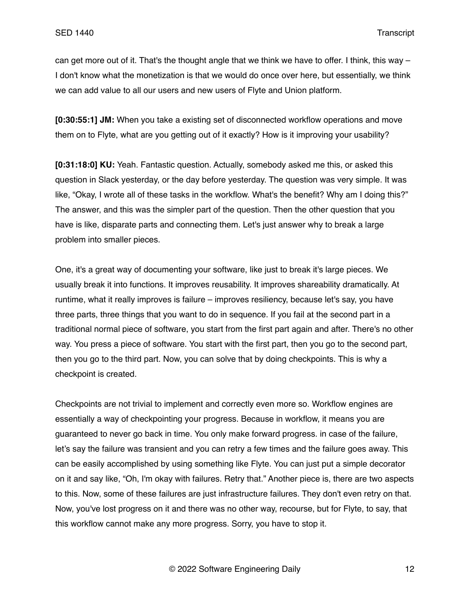can get more out of it. That's the thought angle that we think we have to offer. I think, this way – I don't know what the monetization is that we would do once over here, but essentially, we think we can add value to all our users and new users of Flyte and Union platform.

**[0:30:55:1] JM:** When you take a existing set of disconnected workflow operations and move them on to Flyte, what are you getting out of it exactly? How is it improving your usability?

**[0:31:18:0] KU:** Yeah. Fantastic question. Actually, somebody asked me this, or asked this question in Slack yesterday, or the day before yesterday. The question was very simple. It was like, "Okay, I wrote all of these tasks in the workflow. What's the benefit? Why am I doing this?" The answer, and this was the simpler part of the question. Then the other question that you have is like, disparate parts and connecting them. Let's just answer why to break a large problem into smaller pieces.

One, it's a great way of documenting your software, like just to break it's large pieces. We usually break it into functions. It improves reusability. It improves shareability dramatically. At runtime, what it really improves is failure – improves resiliency, because let's say, you have three parts, three things that you want to do in sequence. If you fail at the second part in a traditional normal piece of software, you start from the first part again and after. There's no other way. You press a piece of software. You start with the first part, then you go to the second part, then you go to the third part. Now, you can solve that by doing checkpoints. This is why a checkpoint is created.

Checkpoints are not trivial to implement and correctly even more so. Workflow engines are essentially a way of checkpointing your progress. Because in workflow, it means you are guaranteed to never go back in time. You only make forward progress. in case of the failure, let's say the failure was transient and you can retry a few times and the failure goes away. This can be easily accomplished by using something like Flyte. You can just put a simple decorator on it and say like, "Oh, I'm okay with failures. Retry that." Another piece is, there are two aspects to this. Now, some of these failures are just infrastructure failures. They don't even retry on that. Now, you've lost progress on it and there was no other way, recourse, but for Flyte, to say, that this workflow cannot make any more progress. Sorry, you have to stop it.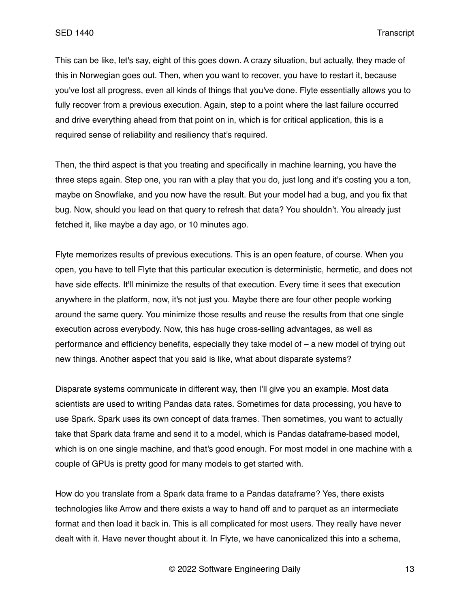This can be like, let's say, eight of this goes down. A crazy situation, but actually, they made of this in Norwegian goes out. Then, when you want to recover, you have to restart it, because you've lost all progress, even all kinds of things that you've done. Flyte essentially allows you to fully recover from a previous execution. Again, step to a point where the last failure occurred and drive everything ahead from that point on in, which is for critical application, this is a required sense of reliability and resiliency that's required.

Then, the third aspect is that you treating and specifically in machine learning, you have the three steps again. Step one, you ran with a play that you do, just long and it's costing you a ton, maybe on Snowflake, and you now have the result. But your model had a bug, and you fix that bug. Now, should you lead on that query to refresh that data? You shouldn't. You already just fetched it, like maybe a day ago, or 10 minutes ago.

Flyte memorizes results of previous executions. This is an open feature, of course. When you open, you have to tell Flyte that this particular execution is deterministic, hermetic, and does not have side effects. It'll minimize the results of that execution. Every time it sees that execution anywhere in the platform, now, it's not just you. Maybe there are four other people working around the same query. You minimize those results and reuse the results from that one single execution across everybody. Now, this has huge cross-selling advantages, as well as performance and efficiency benefits, especially they take model of – a new model of trying out new things. Another aspect that you said is like, what about disparate systems?

Disparate systems communicate in different way, then I'll give you an example. Most data scientists are used to writing Pandas data rates. Sometimes for data processing, you have to use Spark. Spark uses its own concept of data frames. Then sometimes, you want to actually take that Spark data frame and send it to a model, which is Pandas dataframe-based model, which is on one single machine, and that's good enough. For most model in one machine with a couple of GPUs is pretty good for many models to get started with.

How do you translate from a Spark data frame to a Pandas dataframe? Yes, there exists technologies like Arrow and there exists a way to hand off and to parquet as an intermediate format and then load it back in. This is all complicated for most users. They really have never dealt with it. Have never thought about it. In Flyte, we have canonicalized this into a schema,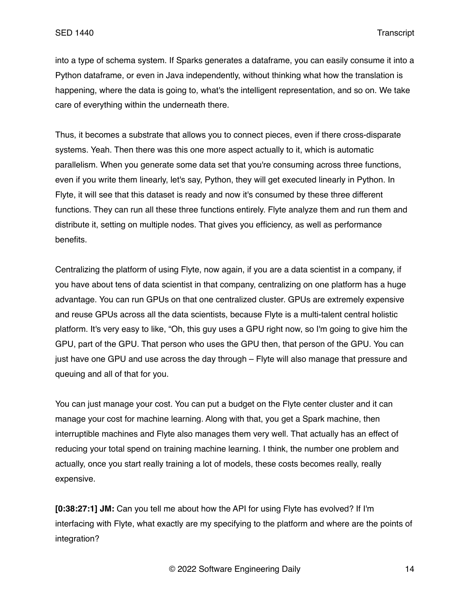into a type of schema system. If Sparks generates a dataframe, you can easily consume it into a Python dataframe, or even in Java independently, without thinking what how the translation is happening, where the data is going to, what's the intelligent representation, and so on. We take care of everything within the underneath there.

Thus, it becomes a substrate that allows you to connect pieces, even if there cross-disparate systems. Yeah. Then there was this one more aspect actually to it, which is automatic parallelism. When you generate some data set that you're consuming across three functions, even if you write them linearly, let's say, Python, they will get executed linearly in Python. In Flyte, it will see that this dataset is ready and now it's consumed by these three different functions. They can run all these three functions entirely. Flyte analyze them and run them and distribute it, setting on multiple nodes. That gives you efficiency, as well as performance benefits.

Centralizing the platform of using Flyte, now again, if you are a data scientist in a company, if you have about tens of data scientist in that company, centralizing on one platform has a huge advantage. You can run GPUs on that one centralized cluster. GPUs are extremely expensive and reuse GPUs across all the data scientists, because Flyte is a multi-talent central holistic platform. It's very easy to like, "Oh, this guy uses a GPU right now, so I'm going to give him the GPU, part of the GPU. That person who uses the GPU then, that person of the GPU. You can just have one GPU and use across the day through – Flyte will also manage that pressure and queuing and all of that for you.

You can just manage your cost. You can put a budget on the Flyte center cluster and it can manage your cost for machine learning. Along with that, you get a Spark machine, then interruptible machines and Flyte also manages them very well. That actually has an effect of reducing your total spend on training machine learning. I think, the number one problem and actually, once you start really training a lot of models, these costs becomes really, really expensive.

**[0:38:27:1] JM:** Can you tell me about how the API for using Flyte has evolved? If I'm interfacing with Flyte, what exactly are my specifying to the platform and where are the points of integration?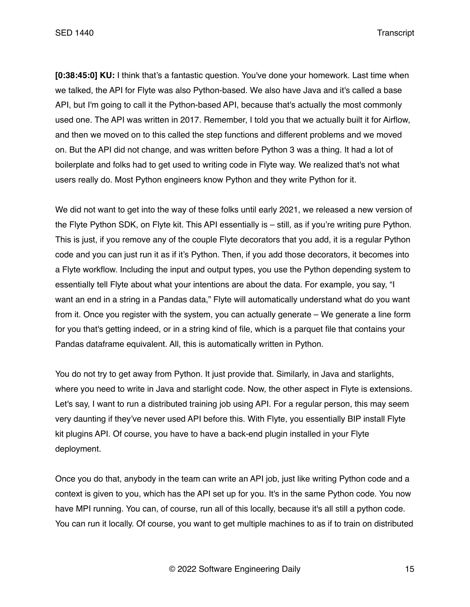**[0:38:45:0] KU:** I think that's a fantastic question. You've done your homework. Last time when we talked, the API for Flyte was also Python-based. We also have Java and it's called a base API, but I'm going to call it the Python-based API, because that's actually the most commonly used one. The API was written in 2017. Remember, I told you that we actually built it for Airflow, and then we moved on to this called the step functions and different problems and we moved on. But the API did not change, and was written before Python 3 was a thing. It had a lot of boilerplate and folks had to get used to writing code in Flyte way. We realized that's not what users really do. Most Python engineers know Python and they write Python for it.

We did not want to get into the way of these folks until early 2021, we released a new version of the Flyte Python SDK, on Flyte kit. This API essentially is – still, as if you're writing pure Python. This is just, if you remove any of the couple Flyte decorators that you add, it is a regular Python code and you can just run it as if it's Python. Then, if you add those decorators, it becomes into a Flyte workflow. Including the input and output types, you use the Python depending system to essentially tell Flyte about what your intentions are about the data. For example, you say, "I want an end in a string in a Pandas data," Flyte will automatically understand what do you want from it. Once you register with the system, you can actually generate – We generate a line form for you that's getting indeed, or in a string kind of file, which is a parquet file that contains your Pandas dataframe equivalent. All, this is automatically written in Python.

You do not try to get away from Python. It just provide that. Similarly, in Java and starlights, where you need to write in Java and starlight code. Now, the other aspect in Flyte is extensions. Let's say, I want to run a distributed training job using API. For a regular person, this may seem very daunting if they've never used API before this. With Flyte, you essentially BIP install Flyte kit plugins API. Of course, you have to have a back-end plugin installed in your Flyte deployment.

Once you do that, anybody in the team can write an API job, just like writing Python code and a context is given to you, which has the API set up for you. It's in the same Python code. You now have MPI running. You can, of course, run all of this locally, because it's all still a python code. You can run it locally. Of course, you want to get multiple machines to as if to train on distributed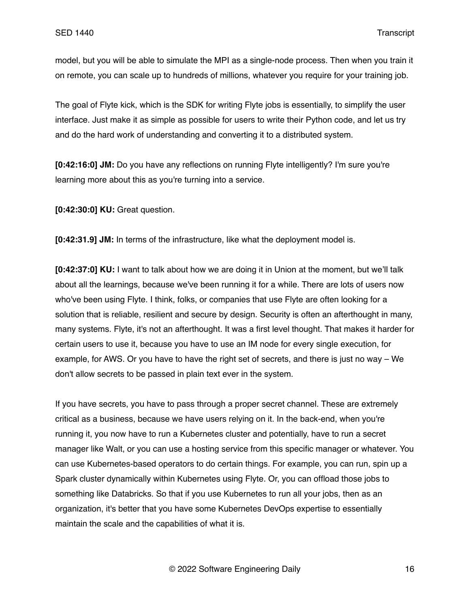model, but you will be able to simulate the MPI as a single-node process. Then when you train it on remote, you can scale up to hundreds of millions, whatever you require for your training job.

The goal of Flyte kick, which is the SDK for writing Flyte jobs is essentially, to simplify the user interface. Just make it as simple as possible for users to write their Python code, and let us try and do the hard work of understanding and converting it to a distributed system.

**[0:42:16:0] JM:** Do you have any reflections on running Flyte intelligently? I'm sure you're learning more about this as you're turning into a service.

**[0:42:30:0] KU:** Great question.

**[0:42:31.9] JM:** In terms of the infrastructure, like what the deployment model is.

**[0:42:37:0] KU:** I want to talk about how we are doing it in Union at the moment, but we'll talk about all the learnings, because we've been running it for a while. There are lots of users now who've been using Flyte. I think, folks, or companies that use Flyte are often looking for a solution that is reliable, resilient and secure by design. Security is often an afterthought in many, many systems. Flyte, it's not an afterthought. It was a first level thought. That makes it harder for certain users to use it, because you have to use an IM node for every single execution, for example, for AWS. Or you have to have the right set of secrets, and there is just no way – We don't allow secrets to be passed in plain text ever in the system.

If you have secrets, you have to pass through a proper secret channel. These are extremely critical as a business, because we have users relying on it. In the back-end, when you're running it, you now have to run a Kubernetes cluster and potentially, have to run a secret manager like Walt, or you can use a hosting service from this specific manager or whatever. You can use Kubernetes-based operators to do certain things. For example, you can run, spin up a Spark cluster dynamically within Kubernetes using Flyte. Or, you can offload those jobs to something like Databricks. So that if you use Kubernetes to run all your jobs, then as an organization, it's better that you have some Kubernetes DevOps expertise to essentially maintain the scale and the capabilities of what it is.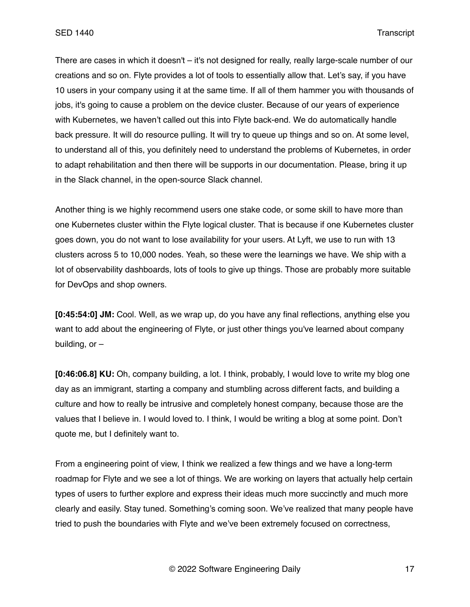There are cases in which it doesn't – it's not designed for really, really large-scale number of our creations and so on. Flyte provides a lot of tools to essentially allow that. Let's say, if you have 10 users in your company using it at the same time. If all of them hammer you with thousands of jobs, it's going to cause a problem on the device cluster. Because of our years of experience with Kubernetes, we haven't called out this into Flyte back-end. We do automatically handle back pressure. It will do resource pulling. It will try to queue up things and so on. At some level, to understand all of this, you definitely need to understand the problems of Kubernetes, in order to adapt rehabilitation and then there will be supports in our documentation. Please, bring it up in the Slack channel, in the open-source Slack channel.

Another thing is we highly recommend users one stake code, or some skill to have more than one Kubernetes cluster within the Flyte logical cluster. That is because if one Kubernetes cluster goes down, you do not want to lose availability for your users. At Lyft, we use to run with 13 clusters across 5 to 10,000 nodes. Yeah, so these were the learnings we have. We ship with a lot of observability dashboards, lots of tools to give up things. Those are probably more suitable for DevOps and shop owners.

**[0:45:54:0] JM:** Cool. Well, as we wrap up, do you have any final reflections, anything else you want to add about the engineering of Flyte, or just other things you've learned about company building,  $or -$ 

**[0:46:06.8] KU:** Oh, company building, a lot. I think, probably, I would love to write my blog one day as an immigrant, starting a company and stumbling across different facts, and building a culture and how to really be intrusive and completely honest company, because those are the values that I believe in. I would loved to. I think, I would be writing a blog at some point. Don't quote me, but I definitely want to.

From a engineering point of view, I think we realized a few things and we have a long-term roadmap for Flyte and we see a lot of things. We are working on layers that actually help certain types of users to further explore and express their ideas much more succinctly and much more clearly and easily. Stay tuned. Something's coming soon. We've realized that many people have tried to push the boundaries with Flyte and we've been extremely focused on correctness,